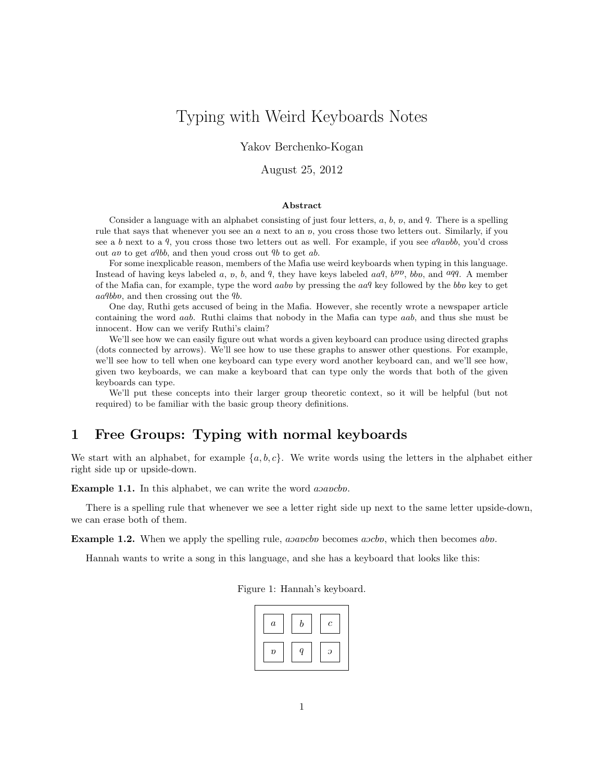# Typing with Weird Keyboards Notes

Yakov Berchenko-Kogan

August 25, 2012

#### Abstract

Consider a language with an alphabet consisting of just four letters,  $a, b, v$ , and  $q$ . There is a spelling rule that says that whenever you see an a next to an v, you cross those two letters out. Similarly, if you see a b next to a  $q$ , you cross those two letters out as well. For example, if you see a $q$ anbb, you'd cross out av to get  $a9bb$ , and then youd cross out  $9b$  to get ab.

For some inexplicable reason, members of the Mafia use weird keyboards when typing in this language. Instead of having keys labeled a, v, b, and 9, they have keys labeled  $aaq$ ,  $b^{yy}$ ,  $bb$ , and  $aqq$ . A member of the Mafia can, for example, type the word *aabp* by pressing the  $aaq$  key followed by the *bbp* key to get aa9bbv, and then crossing out the 9b.

One day, Ruthi gets accused of being in the Mafia. However, she recently wrote a newspaper article containing the word aab. Ruthi claims that nobody in the Mafia can type aab, and thus she must be innocent. How can we verify Ruthi's claim?

We'll see how we can easily figure out what words a given keyboard can produce using directed graphs (dots connected by arrows). We'll see how to use these graphs to answer other questions. For example, we'll see how to tell when one keyboard can type every word another keyboard can, and we'll see how, given two keyboards, we can make a keyboard that can type only the words that both of the given keyboards can type.

We'll put these concepts into their larger group theoretic context, so it will be helpful (but not required) to be familiar with the basic group theory definitions.

## 1 Free Groups: Typing with normal keyboards

We start with an alphabet, for example  $\{a, b, c\}$ . We write words using the letters in the alphabet either right side up or upside-down.

**Example 1.1.** In this alphabet, we can write the word asavebo.

There is a spelling rule that whenever we see a letter right side up next to the same letter upside-down, we can erase both of them.

**Example 1.2.** When we apply the spelling rule,  $a$ sancb becomes  $a$ scb which then becomes abn.

Hannah wants to write a song in this language, and she has a keyboard that looks like this:

Figure 1: Hannah's keyboard.

| $\boldsymbol{a}$ | r | $\mathfrak c$ |
|------------------|---|---------------|
| $\boldsymbol{v}$ |   | ာ             |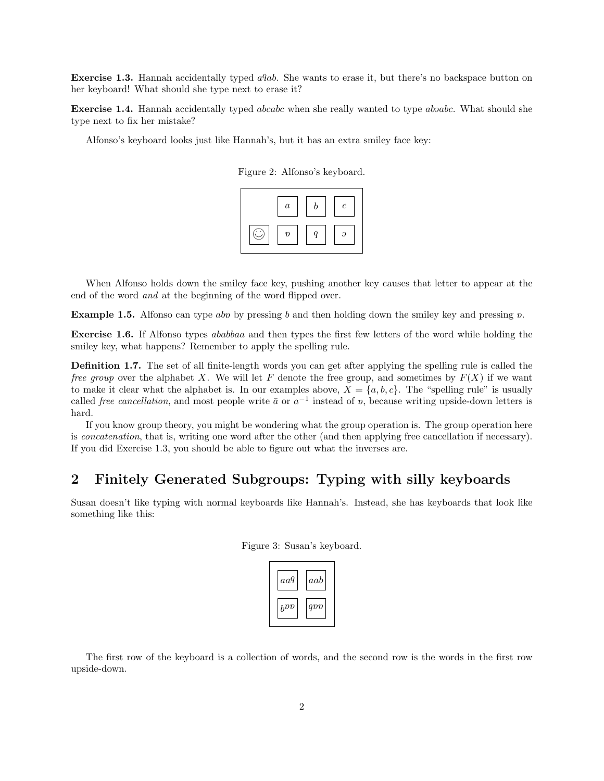**Exercise 1.3.** Hannah accidentally typed  $aqab$ . She wants to erase it, but there's no backspace button on her keyboard! What should she type next to erase it?

**Exercise 1.4.** Hannah accidentally typed *abcabc* when she really wanted to type *absabc*. What should she type next to fix her mistake?

Alfonso's keyboard looks just like Hannah's, but it has an extra smiley face key:



When Alfonso holds down the smiley face key, pushing another key causes that letter to appear at the end of the word and at the beginning of the word flipped over.

**Example 1.5.** Alfonso can type abo by pressing b and then holding down the smiley key and pressing  $\upsilon$ .

Exercise 1.6. If Alfonso types ababbaa and then types the first few letters of the word while holding the smiley key, what happens? Remember to apply the spelling rule.

Definition 1.7. The set of all finite-length words you can get after applying the spelling rule is called the free group over the alphabet X. We will let F denote the free group, and sometimes by  $F(X)$  if we want to make it clear what the alphabet is. In our examples above,  $X = \{a, b, c\}$ . The "spelling rule" is usually called *free cancellation*, and most people write  $\bar{a}$  or  $a^{-1}$  instead of v, because writing upside-down letters is hard.

If you know group theory, you might be wondering what the group operation is. The group operation here is concatenation, that is, writing one word after the other (and then applying free cancellation if necessary). If you did Exercise 1.3, you should be able to figure out what the inverses are.

#### 2 Finitely Generated Subgroups: Typing with silly keyboards

Susan doesn't like typing with normal keyboards like Hannah's. Instead, she has keyboards that look like something like this:

| $aa\boldsymbol{q}$ | $aab$    |
|--------------------|----------|
| $b^{DD}$           | $q_{DD}$ |

Figure 3: Susan's keyboard.

The first row of the keyboard is a collection of words, and the second row is the words in the first row upside-down.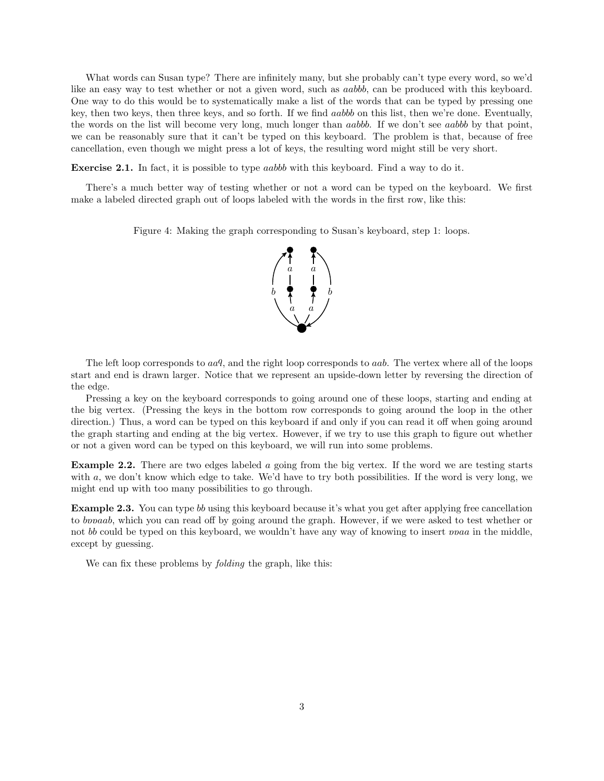What words can Susan type? There are infinitely many, but she probably can't type every word, so we'd like an easy way to test whether or not a given word, such as aabbb, can be produced with this keyboard. One way to do this would be to systematically make a list of the words that can be typed by pressing one key, then two keys, then three keys, and so forth. If we find aabbb on this list, then we're done. Eventually, the words on the list will become very long, much longer than aabbb. If we don't see aabbb by that point, we can be reasonably sure that it can't be typed on this keyboard. The problem is that, because of free cancellation, even though we might press a lot of keys, the resulting word might still be very short.

Exercise 2.1. In fact, it is possible to type *aabbb* with this keyboard. Find a way to do it.

There's a much better way of testing whether or not a word can be typed on the keyboard. We first make a labeled directed graph out of loops labeled with the words in the first row, like this:

Figure 4: Making the graph corresponding to Susan's keyboard, step 1: loops.



The left loop corresponds to  $aaq$ , and the right loop corresponds to  $aab$ . The vertex where all of the loops start and end is drawn larger. Notice that we represent an upside-down letter by reversing the direction of the edge.

Pressing a key on the keyboard corresponds to going around one of these loops, starting and ending at the big vertex. (Pressing the keys in the bottom row corresponds to going around the loop in the other direction.) Thus, a word can be typed on this keyboard if and only if you can read it off when going around the graph starting and ending at the big vertex. However, if we try to use this graph to figure out whether or not a given word can be typed on this keyboard, we will run into some problems.

Example 2.2. There are two edges labeled a going from the big vertex. If the word we are testing starts with a, we don't know which edge to take. We'd have to try both possibilities. If the word is very long, we might end up with too many possibilities to go through.

Example 2.3. You can type bb using this keyboard because it's what you get after applying free cancellation to bovaab, which you can read off by going around the graph. However, if we were asked to test whether or not bb could be typed on this keyboard, we wouldn't have any way of knowing to insert *proac* in the middle, except by guessing.

We can fix these problems by *folding* the graph, like this: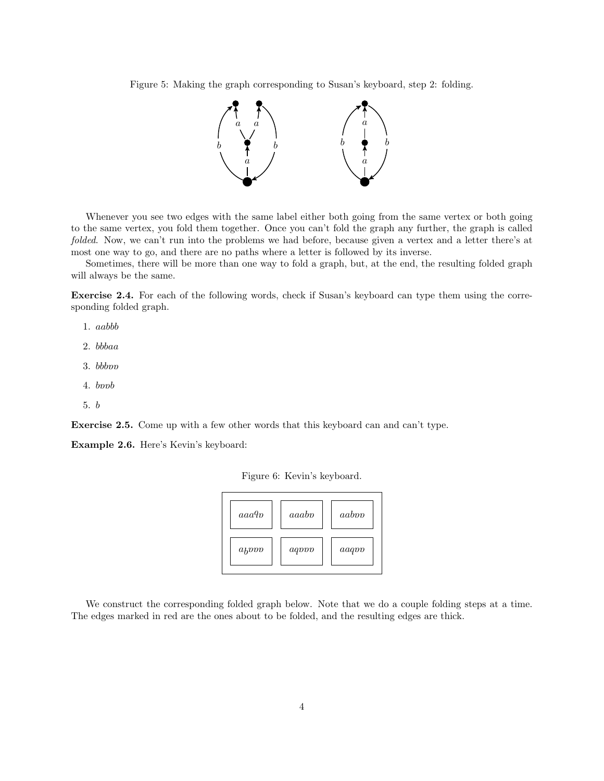Figure 5: Making the graph corresponding to Susan's keyboard, step 2: folding.



Whenever you see two edges with the same label either both going from the same vertex or both going to the same vertex, you fold them together. Once you can't fold the graph any further, the graph is called folded. Now, we can't run into the problems we had before, because given a vertex and a letter there's at most one way to go, and there are no paths where a letter is followed by its inverse.

Sometimes, there will be more than one way to fold a graph, but, at the end, the resulting folded graph will always be the same.

Exercise 2.4. For each of the following words, check if Susan's keyboard can type them using the corresponding folded graph.

- 1. aabbb
- 2. bbbaa
- $3.~bbb$
- $4. \;b\nabla$
- 5. b

Exercise 2.5. Come up with a few other words that this keyboard can and can't type.

Example 2.6. Here's Kevin's keyboard:

Figure 6: Kevin's keyboard.

| aaa9p             | aaabo | aaboo |
|-------------------|-------|-------|
| $a_b$ <i>pppp</i> | aqvvv | aaqvv |

We construct the corresponding folded graph below. Note that we do a couple folding steps at a time. The edges marked in red are the ones about to be folded, and the resulting edges are thick.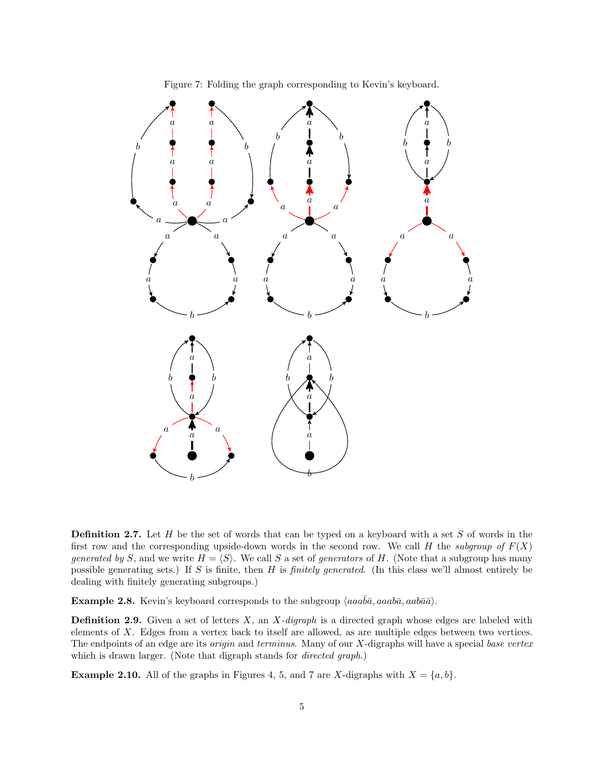

Figure 7: Folding the graph corresponding to Kevin's keyboard.

**Definition 2.7.** Let  $H$  be the set of words that can be typed on a keyboard with a set  $S$  of words in the first row and the corresponding upside-down words in the second row. We call H the subgroup of  $F(X)$ generated by S, and we write  $H = \langle S \rangle$ . We call S a set of generators of H. (Note that a subgroup has many possible generating sets.) If S is finite, then H is finitely generated. (In this class we'll almost entirely be dealing with finitely generating subgroups.)

**Example 2.8.** Kevin's keyboard corresponds to the subgroup  $\langle aaa\overline{b}\overline{a}, aaab\overline{a}, aab\overline{a}\overline{a}\rangle$ .

**Definition 2.9.** Given a set of letters  $X$ , an  $X$ -digraph is a directed graph whose edges are labeled with elements of X. Edges from a vertex back to itself are allowed, as are multiple edges between two vertices. The endpoints of an edge are its *origin* and *terminus*. Many of our X-digraphs will have a special base vertex which is drawn larger. (Note that digraph stands for *directed graph*.)

**Example 2.10.** All of the graphs in Figures 4, 5, and 7 are X-digraphs with  $X = \{a, b\}$ .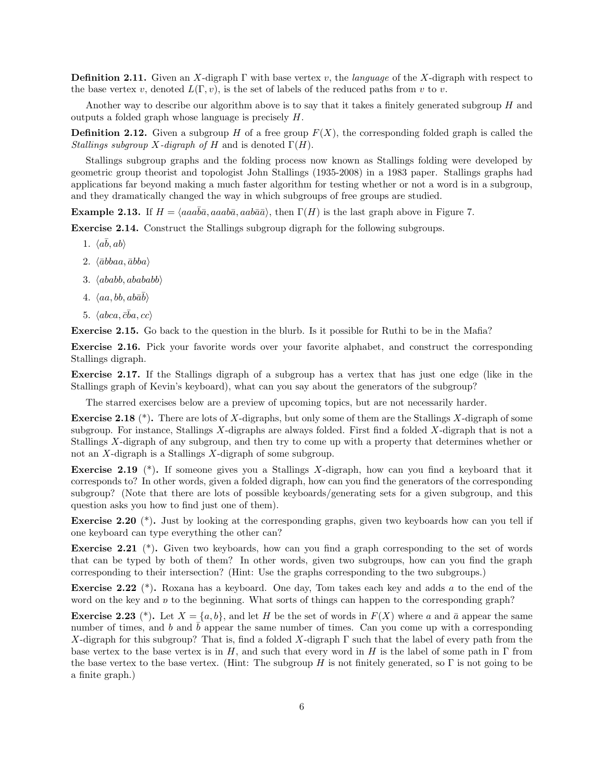**Definition 2.11.** Given an X-digraph  $\Gamma$  with base vertex v, the *language* of the X-digraph with respect to the base vertex v, denoted  $L(\Gamma, v)$ , is the set of labels of the reduced paths from v to v.

Another way to describe our algorithm above is to say that it takes a finitely generated subgroup  $H$  and outputs a folded graph whose language is precisely H.

**Definition 2.12.** Given a subgroup H of a free group  $F(X)$ , the corresponding folded graph is called the Stallings subgroup X-digraph of H and is denoted  $\Gamma(H)$ .

Stallings subgroup graphs and the folding process now known as Stallings folding were developed by geometric group theorist and topologist John Stallings (1935-2008) in a 1983 paper. Stallings graphs had applications far beyond making a much faster algorithm for testing whether or not a word is in a subgroup, and they dramatically changed the way in which subgroups of free groups are studied.

Example 2.13. If  $H = \langle aaab\bar{a}, aab\bar{a}, aab\bar{a}\rangle$ , then  $\Gamma(H)$  is the last graph above in Figure 7.

Exercise 2.14. Construct the Stallings subgroup digraph for the following subgroups.

- 1.  $\langle a\bar{b}, ab \rangle$
- $2. \langle \bar{a}bbaa, \bar{a}bba \rangle$
- 3.  $\langle ababb, abababb \rangle$
- 4.  $\langle aa, bb, ab \bar{a} \bar{b} \rangle$
- 5.  $\langle abca, \bar{c}\bar{b}a, cc\rangle$

Exercise 2.15. Go back to the question in the blurb. Is it possible for Ruthi to be in the Mafia?

Exercise 2.16. Pick your favorite words over your favorite alphabet, and construct the corresponding Stallings digraph.

Exercise 2.17. If the Stallings digraph of a subgroup has a vertex that has just one edge (like in the Stallings graph of Kevin's keyboard), what can you say about the generators of the subgroup?

The starred exercises below are a preview of upcoming topics, but are not necessarily harder.

**Exercise 2.18**  $(*)$ . There are lots of X-digraphs, but only some of them are the Stallings X-digraph of some subgroup. For instance, Stallings  $X$ -digraphs are always folded. First find a folded  $X$ -digraph that is not a Stallings X-digraph of any subgroup, and then try to come up with a property that determines whether or not an X-digraph is a Stallings X-digraph of some subgroup.

Exercise 2.19 (\*). If someone gives you a Stallings X-digraph, how can you find a keyboard that it corresponds to? In other words, given a folded digraph, how can you find the generators of the corresponding subgroup? (Note that there are lots of possible keyboards/generating sets for a given subgroup, and this question asks you how to find just one of them).

Exercise 2.20 (\*). Just by looking at the corresponding graphs, given two keyboards how can you tell if one keyboard can type everything the other can?

Exercise 2.21 (\*). Given two keyboards, how can you find a graph corresponding to the set of words that can be typed by both of them? In other words, given two subgroups, how can you find the graph corresponding to their intersection? (Hint: Use the graphs corresponding to the two subgroups.)

Exercise 2.22 (\*). Roxana has a keyboard. One day, Tom takes each key and adds a to the end of the word on the key and  $v$  to the beginning. What sorts of things can happen to the corresponding graph?

**Exercise 2.23** (\*). Let  $X = \{a, b\}$ , and let H be the set of words in  $F(X)$  where a and  $\bar{a}$  appear the same number of times, and b and  $\bar{b}$  appear the same number of times. Can you come up with a corresponding X-digraph for this subgroup? That is, find a folded X-digraph  $\Gamma$  such that the label of every path from the base vertex to the base vertex is in H, and such that every word in H is the label of some path in  $\Gamma$  from the base vertex to the base vertex. (Hint: The subgroup H is not finitely generated, so  $\Gamma$  is not going to be a finite graph.)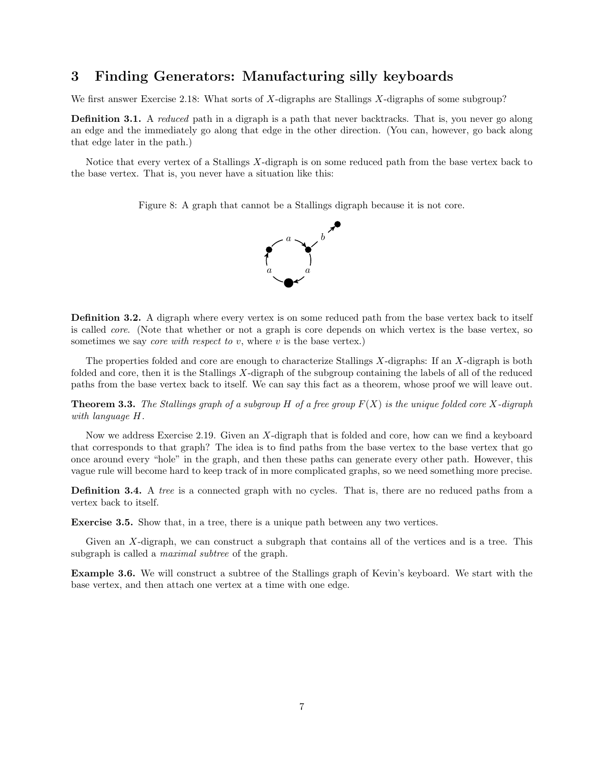## 3 Finding Generators: Manufacturing silly keyboards

We first answer Exercise 2.18: What sorts of X-digraphs are Stallings X-digraphs of some subgroup?

**Definition 3.1.** A *reduced* path in a digraph is a path that never backtracks. That is, you never go along an edge and the immediately go along that edge in the other direction. (You can, however, go back along that edge later in the path.)

Notice that every vertex of a Stallings X-digraph is on some reduced path from the base vertex back to the base vertex. That is, you never have a situation like this:

Figure 8: A graph that cannot be a Stallings digraph because it is not core.



Definition 3.2. A digraph where every vertex is on some reduced path from the base vertex back to itself is called core. (Note that whether or not a graph is core depends on which vertex is the base vertex, so sometimes we say *core with respect to v*, where  $v$  is the base vertex.)

The properties folded and core are enough to characterize Stallings X-digraphs: If an X-digraph is both folded and core, then it is the Stallings X-digraph of the subgroup containing the labels of all of the reduced paths from the base vertex back to itself. We can say this fact as a theorem, whose proof we will leave out.

**Theorem 3.3.** The Stallings graph of a subgroup H of a free group  $F(X)$  is the unique folded core X-digraph with language H.

Now we address Exercise 2.19. Given an X-digraph that is folded and core, how can we find a keyboard that corresponds to that graph? The idea is to find paths from the base vertex to the base vertex that go once around every "hole" in the graph, and then these paths can generate every other path. However, this vague rule will become hard to keep track of in more complicated graphs, so we need something more precise.

**Definition 3.4.** A tree is a connected graph with no cycles. That is, there are no reduced paths from a vertex back to itself.

Exercise 3.5. Show that, in a tree, there is a unique path between any two vertices.

Given an X-digraph, we can construct a subgraph that contains all of the vertices and is a tree. This subgraph is called a *maximal subtree* of the graph.

Example 3.6. We will construct a subtree of the Stallings graph of Kevin's keyboard. We start with the base vertex, and then attach one vertex at a time with one edge.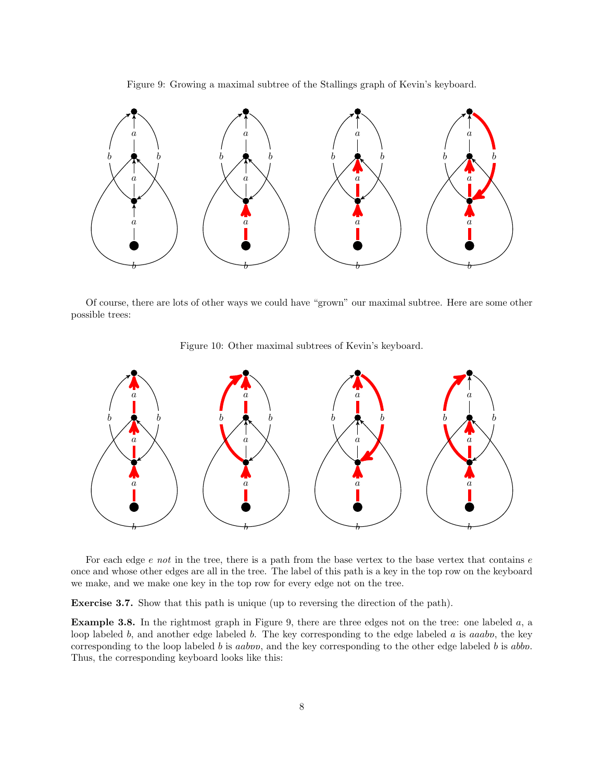Figure 9: Growing a maximal subtree of the Stallings graph of Kevin's keyboard.



Of course, there are lots of other ways we could have "grown" our maximal subtree. Here are some other possible trees:





For each edge  $e$  not in the tree, there is a path from the base vertex to the base vertex that contains  $e$ once and whose other edges are all in the tree. The label of this path is a key in the top row on the keyboard we make, and we make one key in the top row for every edge not on the tree.

Exercise 3.7. Show that this path is unique (up to reversing the direction of the path).

**Example 3.8.** In the rightmost graph in Figure 9, there are three edges not on the tree: one labeled  $a$ , a loop labeled b, and another edge labeled b. The key corresponding to the edge labeled a is aaabo, the key corresponding to the loop labeled b is aabov, and the key corresponding to the other edge labeled b is abbo. Thus, the corresponding keyboard looks like this: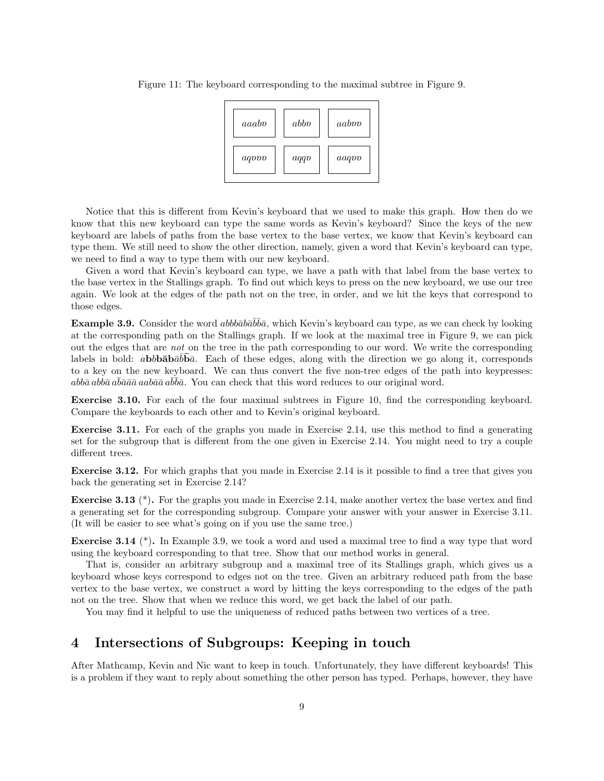Figure 11: The keyboard corresponding to the maximal subtree in Figure 9.



Notice that this is different from Kevin's keyboard that we used to make this graph. How then do we know that this new keyboard can type the same words as Kevin's keyboard? Since the keys of the new keyboard are labels of paths from the base vertex to the base vertex, we know that Kevin's keyboard can type them. We still need to show the other direction, namely, given a word that Kevin's keyboard can type, we need to find a way to type them with our new keyboard.

Given a word that Kevin's keyboard can type, we have a path with that label from the base vertex to the base vertex in the Stallings graph. To find out which keys to press on the new keyboard, we use our tree again. We look at the edges of the path not on the tree, in order, and we hit the keys that correspond to those edges.

**Example 3.9.** Consider the word abboto  $\overline{a}$ , which Kevin's keyboard can type, as we can check by looking at the corresponding path on the Stallings graph. If we look at the maximal tree in Figure 9, we can pick out the edges that are not on the tree in the path corresponding to our word. We write the corresponding labels in bold:  $abbb\bar{a}b\bar{b}\bar{a}b\bar{b}c$ . Each of these edges, along with the direction we go along it, corresponds to a key on the new keyboard. We can thus convert the five non-tree edges of the path into keypresses:  $abb\bar{a}ab\bar{b}a\bar{a}\bar{a}\bar{a}aa b\bar{a}\bar{a}a\bar{b}\bar{b}\bar{a}$ . You can check that this word reduces to our original word.

Exercise 3.10. For each of the four maximal subtrees in Figure 10, find the corresponding keyboard. Compare the keyboards to each other and to Kevin's original keyboard.

Exercise 3.11. For each of the graphs you made in Exercise 2.14, use this method to find a generating set for the subgroup that is different from the one given in Exercise 2.14. You might need to try a couple different trees.

Exercise 3.12. For which graphs that you made in Exercise 2.14 is it possible to find a tree that gives you back the generating set in Exercise 2.14?

Exercise 3.13 (\*). For the graphs you made in Exercise 2.14, make another vertex the base vertex and find a generating set for the corresponding subgroup. Compare your answer with your answer in Exercise 3.11. (It will be easier to see what's going on if you use the same tree.)

Exercise 3.14 (\*). In Example 3.9, we took a word and used a maximal tree to find a way type that word using the keyboard corresponding to that tree. Show that our method works in general.

That is, consider an arbitrary subgroup and a maximal tree of its Stallings graph, which gives us a keyboard whose keys correspond to edges not on the tree. Given an arbitrary reduced path from the base vertex to the base vertex, we construct a word by hitting the keys corresponding to the edges of the path not on the tree. Show that when we reduce this word, we get back the label of our path.

You may find it helpful to use the uniqueness of reduced paths between two vertices of a tree.

#### 4 Intersections of Subgroups: Keeping in touch

After Mathcamp, Kevin and Nic want to keep in touch. Unfortunately, they have different keyboards! This is a problem if they want to reply about something the other person has typed. Perhaps, however, they have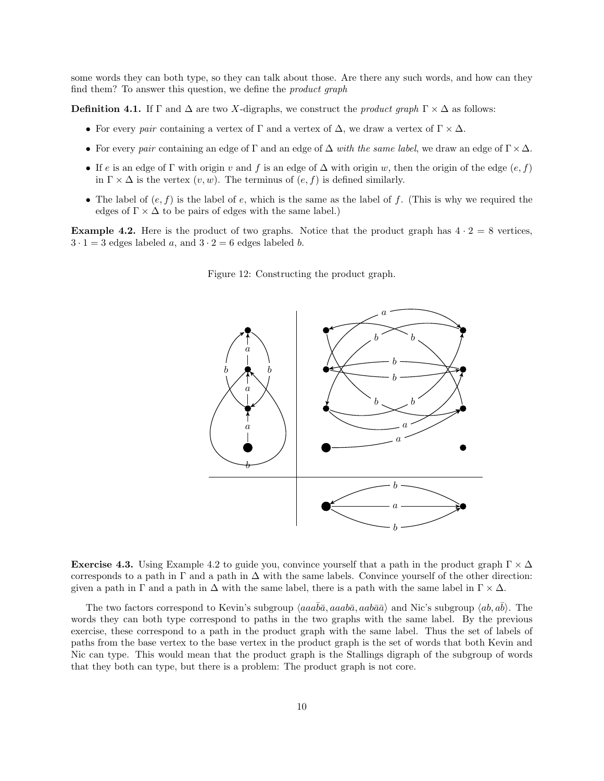some words they can both type, so they can talk about those. Are there any such words, and how can they find them? To answer this question, we define the *product graph* 

**Definition 4.1.** If  $\Gamma$  and  $\Delta$  are two X-digraphs, we construct the *product graph*  $\Gamma \times \Delta$  as follows:

- For every pair containing a vertex of  $\Gamma$  and a vertex of  $\Delta$ , we draw a vertex of  $\Gamma \times \Delta$ .
- For every pair containing an edge of  $\Gamma$  and an edge of  $\Delta$  with the same label, we draw an edge of  $\Gamma \times \Delta$ .
- If e is an edge of Γ with origin v and f is an edge of  $\Delta$  with origin w, then the origin of the edge  $(e, f)$ in  $\Gamma \times \Delta$  is the vertex  $(v, w)$ . The terminus of  $(e, f)$  is defined similarly.
- The label of  $(e, f)$  is the label of e, which is the same as the label of f. (This is why we required the edges of  $\Gamma \times \Delta$  to be pairs of edges with the same label.)

**Example 4.2.** Here is the product of two graphs. Notice that the product graph has  $4 \cdot 2 = 8$  vertices,  $3 \cdot 1 = 3$  edges labeled a, and  $3 \cdot 2 = 6$  edges labeled b.



Figure 12: Constructing the product graph.

**Exercise 4.3.** Using Example 4.2 to guide you, convince yourself that a path in the product graph  $\Gamma \times \Delta$ corresponds to a path in  $\Gamma$  and a path in  $\Delta$  with the same labels. Convince yourself of the other direction: given a path in  $\Gamma$  and a path in  $\Delta$  with the same label, there is a path with the same label in  $\Gamma \times \Delta$ .

The two factors correspond to Kevin's subgroup  $\langle aaa\overline{b}\overline{a}$ ,  $aaab\overline{a}$  and Nic's subgroup  $\langle ab, a\overline{b}\rangle$ . The words they can both type correspond to paths in the two graphs with the same label. By the previous exercise, these correspond to a path in the product graph with the same label. Thus the set of labels of paths from the base vertex to the base vertex in the product graph is the set of words that both Kevin and Nic can type. This would mean that the product graph is the Stallings digraph of the subgroup of words that they both can type, but there is a problem: The product graph is not core.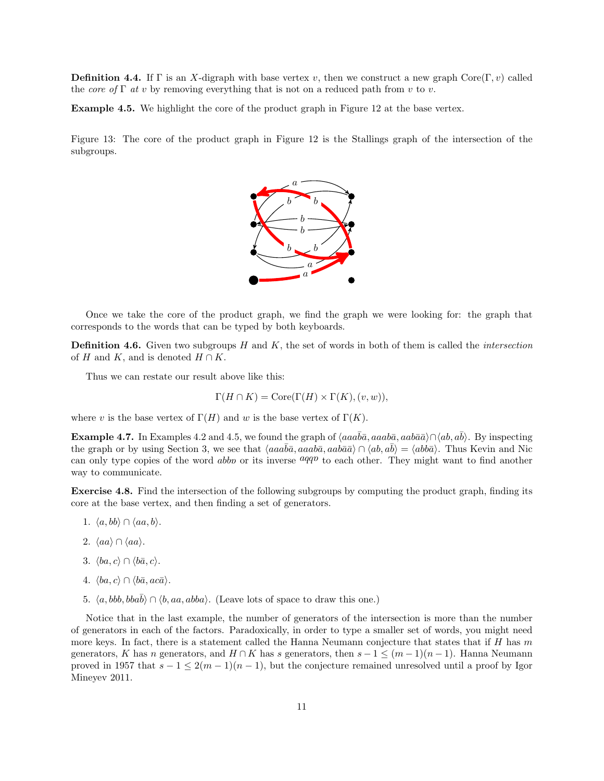**Definition 4.4.** If Γ is an X-digraph with base vertex v, then we construct a new graph Core(Γ, v) called the core of  $\Gamma$  at v by removing everything that is not on a reduced path from v to v.

Example 4.5. We highlight the core of the product graph in Figure 12 at the base vertex.

Figure 13: The core of the product graph in Figure 12 is the Stallings graph of the intersection of the subgroups.



Once we take the core of the product graph, we find the graph we were looking for: the graph that corresponds to the words that can be typed by both keyboards.

**Definition 4.6.** Given two subgroups  $H$  and  $K$ , the set of words in both of them is called the *intersection* of H and K, and is denoted  $H \cap K$ .

Thus we can restate our result above like this:

$$
\Gamma(H \cap K) = \text{Core}(\Gamma(H) \times \Gamma(K), (v, w)),
$$

where v is the base vertex of  $\Gamma(H)$  and w is the base vertex of  $\Gamma(K)$ .

**Example 4.7.** In Examples 4.2 and 4.5, we found the graph of  $\langle aaab\bar{a}, aaab\bar{a}, aab\bar{a}\rangle \cap \langle ab, ab \rangle$ . By inspecting the graph or by using Section 3, we see that  $\langle aaab\bar{a}, aaab\bar{a}, aab\bar{a}\rangle \cap \langle ab, ab\rangle = \langle abb\bar{a}\rangle$ . Thus Kevin and Nic can only type copies of the word *abbn* or its inverse  $aqqv$  to each other. They might want to find another way to communicate.

Exercise 4.8. Find the intersection of the following subgroups by computing the product graph, finding its core at the base vertex, and then finding a set of generators.

- 1.  $\langle a, bb \rangle \cap \langle aa, b \rangle$ .
- 2.  $\langle aa \rangle \cap \langle aa \rangle$ .
- 3.  $\langle ba, c \rangle \cap \langle b\bar{a}, c \rangle$ .
- 4.  $\langle ba, c \rangle \cap \langle b\bar{a}, ac\bar{a} \rangle$ .
- 5.  $\langle a, bbb, bba\overline{b} \rangle \cap \langle b, aa, abba \rangle$ . (Leave lots of space to draw this one.)

Notice that in the last example, the number of generators of the intersection is more than the number of generators in each of the factors. Paradoxically, in order to type a smaller set of words, you might need more keys. In fact, there is a statement called the Hanna Neumann conjecture that states that if  $H$  has m generators, K has n generators, and  $H \cap K$  has s generators, then  $s - 1 \leq (m - 1)(n - 1)$ . Hanna Neumann proved in 1957 that  $s - 1 \leq 2(m - 1)(n - 1)$ , but the conjecture remained unresolved until a proof by Igor Mineyev 2011.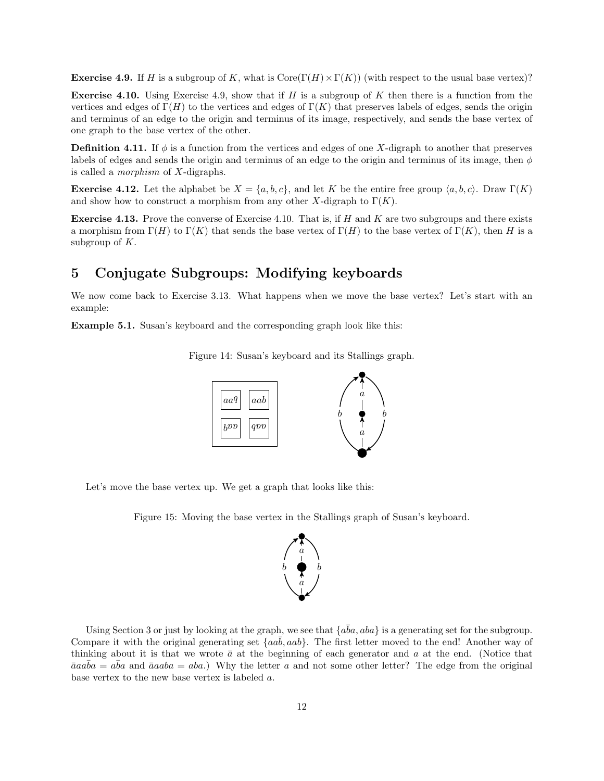**Exercise 4.9.** If H is a subgroup of K, what is  $\text{Core}(\Gamma(H) \times \Gamma(K))$  (with respect to the usual base vertex)?

**Exercise 4.10.** Using Exercise 4.9, show that if H is a subgroup of K then there is a function from the vertices and edges of  $\Gamma(H)$  to the vertices and edges of  $\Gamma(K)$  that preserves labels of edges, sends the origin and terminus of an edge to the origin and terminus of its image, respectively, and sends the base vertex of one graph to the base vertex of the other.

**Definition 4.11.** If  $\phi$  is a function from the vertices and edges of one X-digraph to another that preserves labels of edges and sends the origin and terminus of an edge to the origin and terminus of its image, then  $\phi$ is called a morphism of X-digraphs.

**Exercise 4.12.** Let the alphabet be  $X = \{a, b, c\}$ , and let K be the entire free group  $\langle a, b, c \rangle$ . Draw  $\Gamma(K)$ and show how to construct a morphism from any other X-digraph to  $\Gamma(K)$ .

**Exercise 4.13.** Prove the converse of Exercise 4.10. That is, if H and K are two subgroups and there exists a morphism from  $\Gamma(H)$  to  $\Gamma(K)$  that sends the base vertex of  $\Gamma(H)$  to the base vertex of  $\Gamma(K)$ , then H is a subgroup of  $K$ .

# 5 Conjugate Subgroups: Modifying keyboards

We now come back to Exercise 3.13. What happens when we move the base vertex? Let's start with an example:

Example 5.1. Susan's keyboard and the corresponding graph look like this:

Figure 14: Susan's keyboard and its Stallings graph.



Let's move the base vertex up. We get a graph that looks like this:

Figure 15: Moving the base vertex in the Stallings graph of Susan's keyboard.



Using Section 3 or just by looking at the graph, we see that  $\{a\bar{b}a, aba\}$  is a generating set for the subgroup. Compare it with the original generating set  ${aab, aab}$ . The first letter moved to the end! Another way of thinking about it is that we wrote  $\bar{a}$  at the beginning of each generator and a at the end. (Notice that  $\bar{a}aa\bar{b}a = a\bar{b}a$  and  $\bar{a}aaba = aba$ .) Why the letter a and not some other letter? The edge from the original base vertex to the new base vertex is labeled a.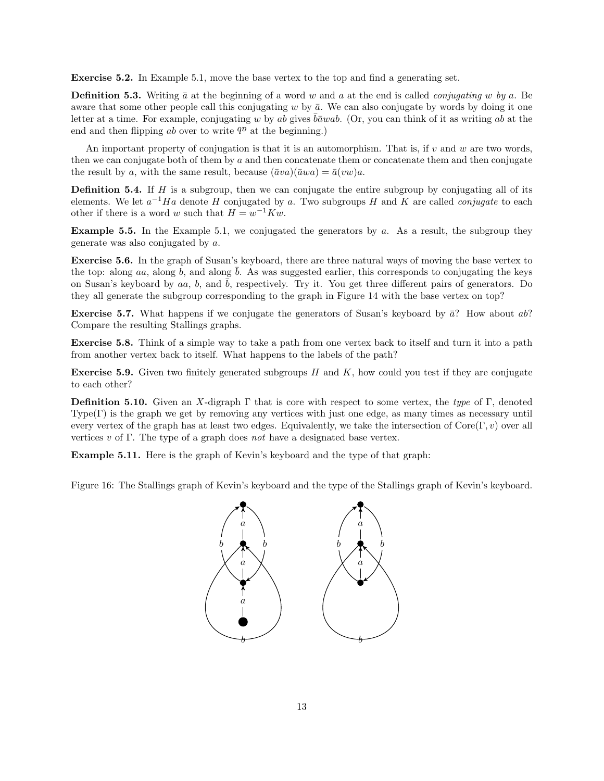Exercise 5.2. In Example 5.1, move the base vertex to the top and find a generating set.

**Definition 5.3.** Writing  $\bar{a}$  at the beginning of a word w and a at the end is called *conjugating* w by a. Be aware that some other people call this conjugating  $w$  by  $\bar{a}$ . We can also conjugate by words by doing it one letter at a time. For example, conjugating w by ab gives  $b\bar{a}wab$ . (Or, you can think of it as writing ab at the end and then flipping ab over to write  $q<sup>p</sup>$  at the beginning.)

An important property of conjugation is that it is an automorphism. That is, if  $v$  and  $w$  are two words, then we can conjugate both of them by a and then concatenate them or concatenate them and then conjugate the result by a, with the same result, because  $(\bar{a}va)(\bar{a}wa) = \bar{a}(vw)a$ .

**Definition 5.4.** If  $H$  is a subgroup, then we can conjugate the entire subgroup by conjugating all of its elements. We let  $a^{-1}Ha$  denote H conjugated by a. Two subgroups H and K are called *conjugate* to each other if there is a word w such that  $H = w^{-1}Kw$ .

**Example 5.5.** In the Example 5.1, we conjugated the generators by a. As a result, the subgroup they generate was also conjugated by a.

Exercise 5.6. In the graph of Susan's keyboard, there are three natural ways of moving the base vertex to the top: along aa, along b, and along  $\bar{b}$ . As was suggested earlier, this corresponds to conjugating the keys on Susan's keyboard by aa, b, and  $\bar{b}$ , respectively. Try it. You get three different pairs of generators. Do they all generate the subgroup corresponding to the graph in Figure 14 with the base vertex on top?

**Exercise 5.7.** What happens if we conjugate the generators of Susan's keyboard by  $\bar{a}$ ? How about ab? Compare the resulting Stallings graphs.

Exercise 5.8. Think of a simple way to take a path from one vertex back to itself and turn it into a path from another vertex back to itself. What happens to the labels of the path?

**Exercise 5.9.** Given two finitely generated subgroups  $H$  and  $K$ , how could you test if they are conjugate to each other?

**Definition 5.10.** Given an X-digraph  $\Gamma$  that is core with respect to some vertex, the type of  $\Gamma$ , denoted  $Type(\Gamma)$  is the graph we get by removing any vertices with just one edge, as many times as necessary until every vertex of the graph has at least two edges. Equivalently, we take the intersection of  $\text{Core}(\Gamma, v)$  over all vertices v of Γ. The type of a graph does not have a designated base vertex.

Example 5.11. Here is the graph of Kevin's keyboard and the type of that graph:

Figure 16: The Stallings graph of Kevin's keyboard and the type of the Stallings graph of Kevin's keyboard.

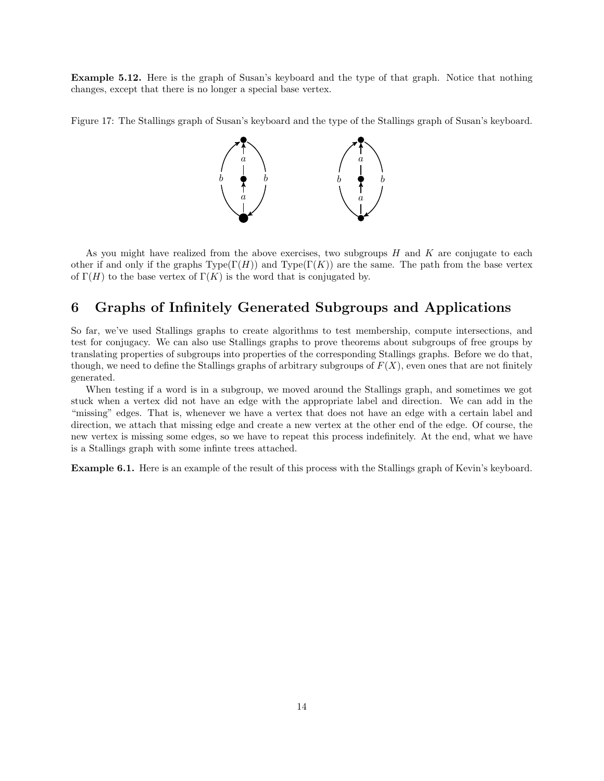Example 5.12. Here is the graph of Susan's keyboard and the type of that graph. Notice that nothing changes, except that there is no longer a special base vertex.

Figure 17: The Stallings graph of Susan's keyboard and the type of the Stallings graph of Susan's keyboard.



As you might have realized from the above exercises, two subgroups  $H$  and  $K$  are conjugate to each other if and only if the graphs  $Type(\Gamma(H))$  and  $Type(\Gamma(K))$  are the same. The path from the base vertex of  $\Gamma(H)$  to the base vertex of  $\Gamma(K)$  is the word that is conjugated by.

### 6 Graphs of Infinitely Generated Subgroups and Applications

So far, we've used Stallings graphs to create algorithms to test membership, compute intersections, and test for conjugacy. We can also use Stallings graphs to prove theorems about subgroups of free groups by translating properties of subgroups into properties of the corresponding Stallings graphs. Before we do that, though, we need to define the Stallings graphs of arbitrary subgroups of  $F(X)$ , even ones that are not finitely generated.

When testing if a word is in a subgroup, we moved around the Stallings graph, and sometimes we got stuck when a vertex did not have an edge with the appropriate label and direction. We can add in the "missing" edges. That is, whenever we have a vertex that does not have an edge with a certain label and direction, we attach that missing edge and create a new vertex at the other end of the edge. Of course, the new vertex is missing some edges, so we have to repeat this process indefinitely. At the end, what we have is a Stallings graph with some infinte trees attached.

Example 6.1. Here is an example of the result of this process with the Stallings graph of Kevin's keyboard.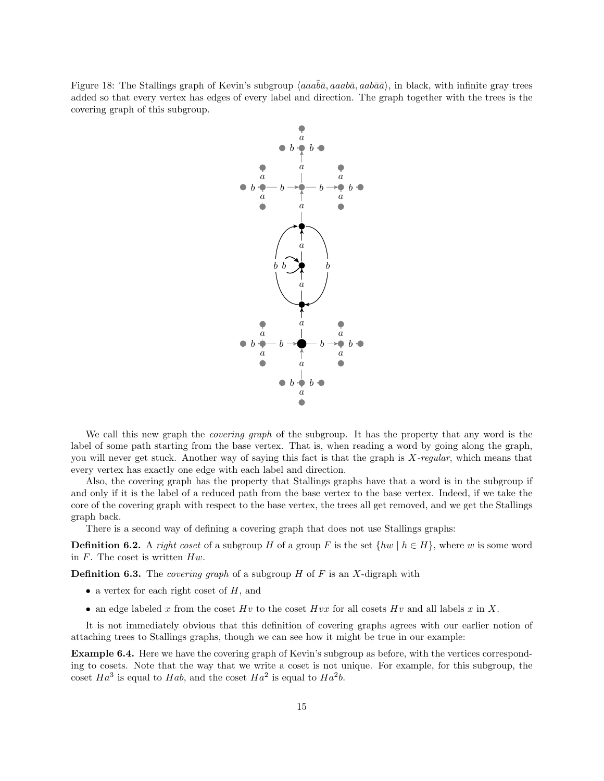Figure 18: The Stallings graph of Kevin's subgroup  $\langle aaa\overline{b}\overline{a}, aaab\overline{a}, aab\overline{a}\rangle$ , in black, with infinite gray trees added so that every vertex has edges of every label and direction. The graph together with the trees is the covering graph of this subgroup.



We call this new graph the *covering graph* of the subgroup. It has the property that any word is the label of some path starting from the base vertex. That is, when reading a word by going along the graph, you will never get stuck. Another way of saying this fact is that the graph is X-regular, which means that every vertex has exactly one edge with each label and direction.

Also, the covering graph has the property that Stallings graphs have that a word is in the subgroup if and only if it is the label of a reduced path from the base vertex to the base vertex. Indeed, if we take the core of the covering graph with respect to the base vertex, the trees all get removed, and we get the Stallings graph back.

There is a second way of defining a covering graph that does not use Stallings graphs:

**Definition 6.2.** A right coset of a subgroup H of a group F is the set  $\{hw \mid h \in H\}$ , where w is some word in  $F$ . The coset is written  $Hw$ .

**Definition 6.3.** The *covering graph* of a subgroup  $H$  of  $F$  is an  $X$ -digraph with

- a vertex for each right coset of  $H$ , and
- an edge labeled x from the coset Hv to the coset Hvx for all cosets Hv and all labels x in X.

It is not immediately obvious that this definition of covering graphs agrees with our earlier notion of attaching trees to Stallings graphs, though we can see how it might be true in our example:

Example 6.4. Here we have the covering graph of Kevin's subgroup as before, with the vertices corresponding to cosets. Note that the way that we write a coset is not unique. For example, for this subgroup, the coset  $Ha^3$  is equal to  $Hab$ , and the coset  $Ha^2$  is equal to  $Ha^2b$ .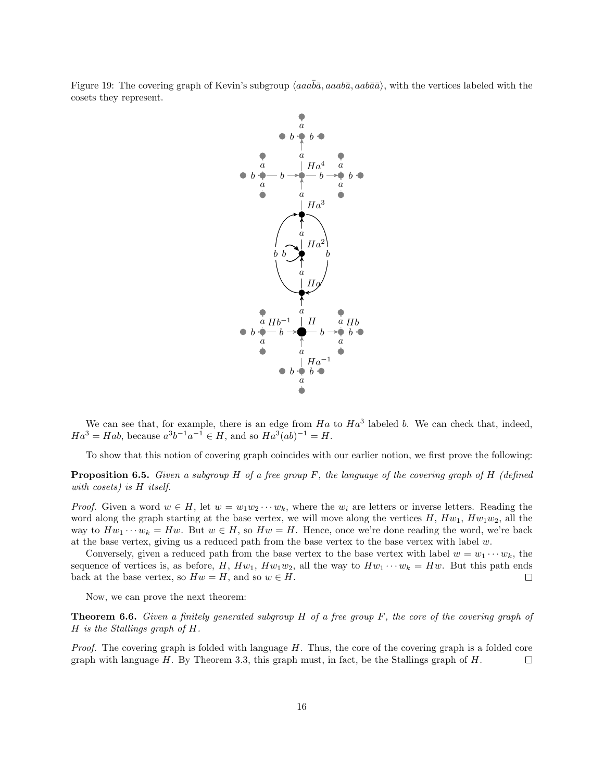Figure 19: The covering graph of Kevin's subgroup  $\langle aaa\overline{ba}, aa\overline{ba}, aab\overline{a}\rangle$ , with the vertices labeled with the cosets they represent.



We can see that, for example, there is an edge from  $Ha$  to  $Ha^3$  labeled b. We can check that, indeed,  $Ha^3 = Hab$ , because  $a^3b^{-1}a^{-1} \in H$ , and so  $Ha^3(ab)^{-1} = H$ .

To show that this notion of covering graph coincides with our earlier notion, we first prove the following:

**Proposition 6.5.** Given a subgroup H of a free group F, the language of the covering graph of H (defined with cosets) is H itself.

*Proof.* Given a word  $w \in H$ , let  $w = w_1w_2 \cdots w_k$ , where the  $w_i$  are letters or inverse letters. Reading the word along the graph starting at the base vertex, we will move along the vertices  $H, Hw_1, Hw_1w_2$ , all the way to  $Hw_1 \cdots w_k = Hw$ . But  $w \in H$ , so  $Hw = H$ . Hence, once we're done reading the word, we're back at the base vertex, giving us a reduced path from the base vertex to the base vertex with label  $w$ .

Conversely, given a reduced path from the base vertex to the base vertex with label  $w = w_1 \cdots w_k$ , the sequence of vertices is, as before, H,  $Hw_1$ ,  $Hw_1w_2$ , all the way to  $Hw_1 \cdots w_k = Hw$ . But this path ends back at the base vertex, so  $Hw = H$ , and so  $w \in H$ .  $\Box$ 

Now, we can prove the next theorem:

Theorem 6.6. Given a finitely generated subgroup H of a free group F, the core of the covering graph of H is the Stallings graph of H.

Proof. The covering graph is folded with language H. Thus, the core of the covering graph is a folded core graph with language  $H$ . By Theorem 3.3, this graph must, in fact, be the Stallings graph of  $H$ .  $\Box$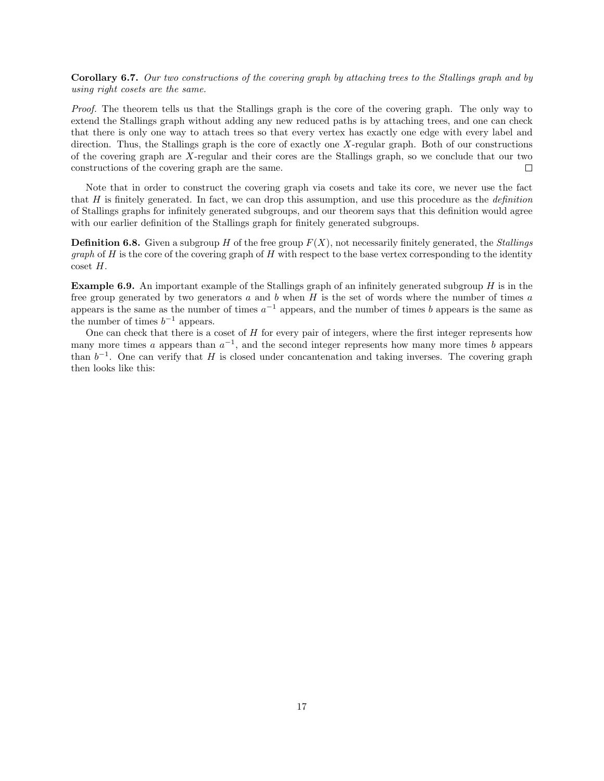Corollary 6.7. Our two constructions of the covering graph by attaching trees to the Stallings graph and by using right cosets are the same.

Proof. The theorem tells us that the Stallings graph is the core of the covering graph. The only way to extend the Stallings graph without adding any new reduced paths is by attaching trees, and one can check that there is only one way to attach trees so that every vertex has exactly one edge with every label and direction. Thus, the Stallings graph is the core of exactly one X-regular graph. Both of our constructions of the covering graph are X-regular and their cores are the Stallings graph, so we conclude that our two constructions of the covering graph are the same.  $\Box$ 

Note that in order to construct the covering graph via cosets and take its core, we never use the fact that H is finitely generated. In fact, we can drop this assumption, and use this procedure as the *definition* of Stallings graphs for infinitely generated subgroups, and our theorem says that this definition would agree with our earlier definition of the Stallings graph for finitely generated subgroups.

**Definition 6.8.** Given a subgroup H of the free group  $F(X)$ , not necessarily finitely generated, the *Stallings graph* of  $H$  is the core of the covering graph of  $H$  with respect to the base vertex corresponding to the identity coset H.

Example 6.9. An important example of the Stallings graph of an infinitely generated subgroup H is in the free group generated by two generators  $a$  and  $b$  when  $H$  is the set of words where the number of times  $a$ appears is the same as the number of times  $a^{-1}$  appears, and the number of times b appears is the same as the number of times  $b^{-1}$  appears.

One can check that there is a coset of  $H$  for every pair of integers, where the first integer represents how many more times a appears than  $a^{-1}$ , and the second integer represents how many more times b appears than  $b^{-1}$ . One can verify that H is closed under concantenation and taking inverses. The covering graph then looks like this: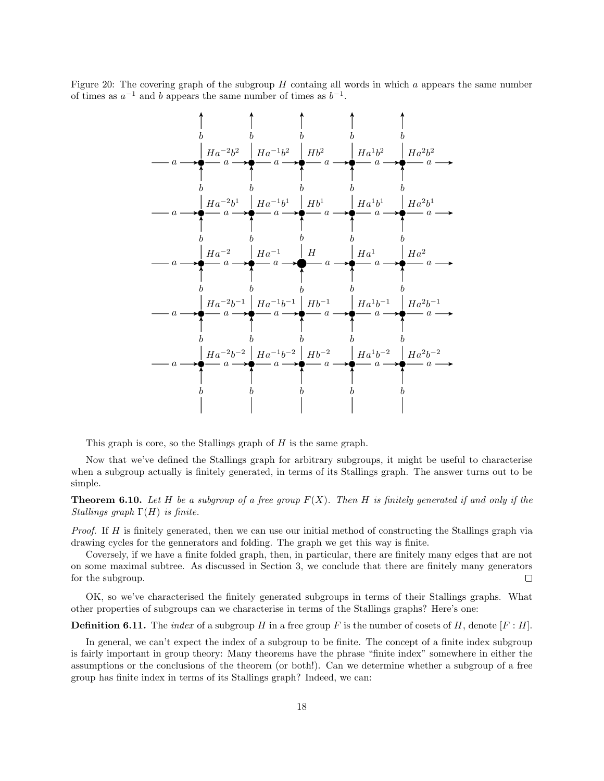Figure 20: The covering graph of the subgroup  $H$  containg all words in which  $a$  appears the same number of times as  $a^{-1}$  and b appears the same number of times as  $b^{-1}$ .



This graph is core, so the Stallings graph of H is the same graph.

Now that we've defined the Stallings graph for arbitrary subgroups, it might be useful to characterise when a subgroup actually is finitely generated, in terms of its Stallings graph. The answer turns out to be simple.

**Theorem 6.10.** Let H be a subgroup of a free group  $F(X)$ . Then H is finitely generated if and only if the Stallings graph  $\Gamma(H)$  is finite.

Proof. If H is finitely generated, then we can use our initial method of constructing the Stallings graph via drawing cycles for the gennerators and folding. The graph we get this way is finite.

Coversely, if we have a finite folded graph, then, in particular, there are finitely many edges that are not on some maximal subtree. As discussed in Section 3, we conclude that there are finitely many generators for the subgroup.  $\Box$ 

OK, so we've characterised the finitely generated subgroups in terms of their Stallings graphs. What other properties of subgroups can we characterise in terms of the Stallings graphs? Here's one:

**Definition 6.11.** The *index* of a subgroup H in a free group F is the number of cosets of H, denote  $[F:H]$ .

In general, we can't expect the index of a subgroup to be finite. The concept of a finite index subgroup is fairly important in group theory: Many theorems have the phrase "finite index" somewhere in either the assumptions or the conclusions of the theorem (or both!). Can we determine whether a subgroup of a free group has finite index in terms of its Stallings graph? Indeed, we can: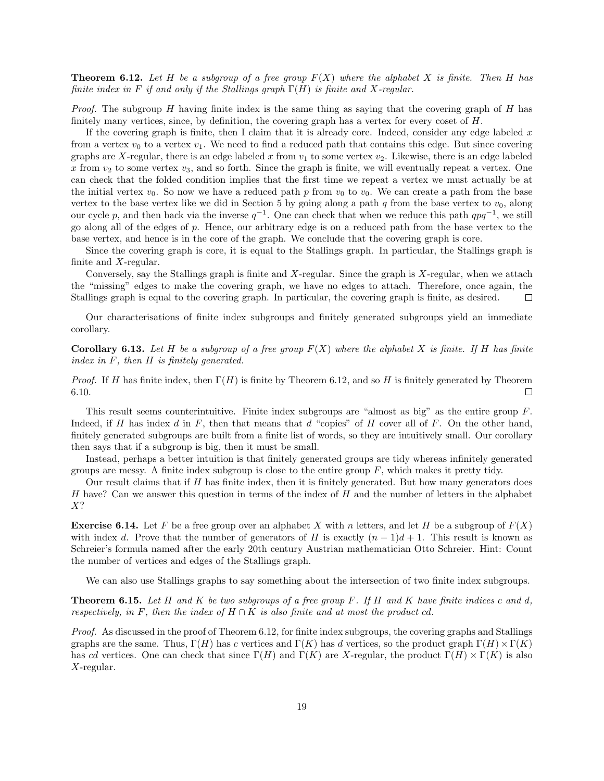**Theorem 6.12.** Let H be a subgroup of a free group  $F(X)$  where the alphabet X is finite. Then H has finite index in F if and only if the Stallings graph  $\Gamma(H)$  is finite and X-regular.

*Proof.* The subgroup  $H$  having finite index is the same thing as saying that the covering graph of  $H$  has finitely many vertices, since, by definition, the covering graph has a vertex for every coset of H.

If the covering graph is finite, then I claim that it is already core. Indeed, consider any edge labeled  $x$ from a vertex  $v_0$  to a vertex  $v_1$ . We need to find a reduced path that contains this edge. But since covering graphs are X-regular, there is an edge labeled x from  $v_1$  to some vertex  $v_2$ . Likewise, there is an edge labeled x from  $v_2$  to some vertex  $v_3$ , and so forth. Since the graph is finite, we will eventually repeat a vertex. One can check that the folded condition implies that the first time we repeat a vertex we must actually be at the initial vertex  $v_0$ . So now we have a reduced path p from  $v_0$  to  $v_0$ . We can create a path from the base vertex to the base vertex like we did in Section 5 by going along a path q from the base vertex to  $v_0$ , along our cycle p, and then back via the inverse  $q^{-1}$ . One can check that when we reduce this path  $qpq^{-1}$ , we still go along all of the edges of p. Hence, our arbitrary edge is on a reduced path from the base vertex to the base vertex, and hence is in the core of the graph. We conclude that the covering graph is core.

Since the covering graph is core, it is equal to the Stallings graph. In particular, the Stallings graph is finite and X-regular.

Conversely, say the Stallings graph is finite and  $X$ -regular. Since the graph is  $X$ -regular, when we attach the "missing" edges to make the covering graph, we have no edges to attach. Therefore, once again, the Stallings graph is equal to the covering graph. In particular, the covering graph is finite, as desired.  $\Box$ 

Our characterisations of finite index subgroups and finitely generated subgroups yield an immediate corollary.

**Corollary 6.13.** Let H be a subgroup of a free group  $F(X)$  where the alphabet X is finite. If H has finite index in F, then H is finitely generated.

*Proof.* If H has finite index, then  $\Gamma(H)$  is finite by Theorem 6.12, and so H is finitely generated by Theorem 6.10.  $\Box$ 

This result seems counterintuitive. Finite index subgroups are "almost as big" as the entire group  $F$ . Indeed, if H has index d in F, then that means that d "copies" of H cover all of F. On the other hand, finitely generated subgroups are built from a finite list of words, so they are intuitively small. Our corollary then says that if a subgroup is big, then it must be small.

Instead, perhaps a better intuition is that finitely generated groups are tidy whereas infinitely generated groups are messy. A finite index subgroup is close to the entire group  $F$ , which makes it pretty tidy.

Our result claims that if  $H$  has finite index, then it is finitely generated. But how many generators does H have? Can we answer this question in terms of the index of  $H$  and the number of letters in the alphabet X?

**Exercise 6.14.** Let F be a free group over an alphabet X with n letters, and let H be a subgroup of  $F(X)$ with index d. Prove that the number of generators of H is exactly  $(n-1)d+1$ . This result is known as Schreier's formula named after the early 20th century Austrian mathematician Otto Schreier. Hint: Count the number of vertices and edges of the Stallings graph.

We can also use Stallings graphs to say something about the intersection of two finite index subgroups.

**Theorem 6.15.** Let H and K be two subgroups of a free group F. If H and K have finite indices c and d, respectively, in F, then the index of  $H \cap K$  is also finite and at most the product cd.

Proof. As discussed in the proof of Theorem 6.12, for finite index subgroups, the covering graphs and Stallings graphs are the same. Thus,  $\Gamma(H)$  has c vertices and  $\Gamma(K)$  has d vertices, so the product graph  $\Gamma(H) \times \Gamma(K)$ has cd vertices. One can check that since  $\Gamma(H)$  and  $\Gamma(K)$  are X-regular, the product  $\Gamma(H) \times \Gamma(K)$  is also X-regular.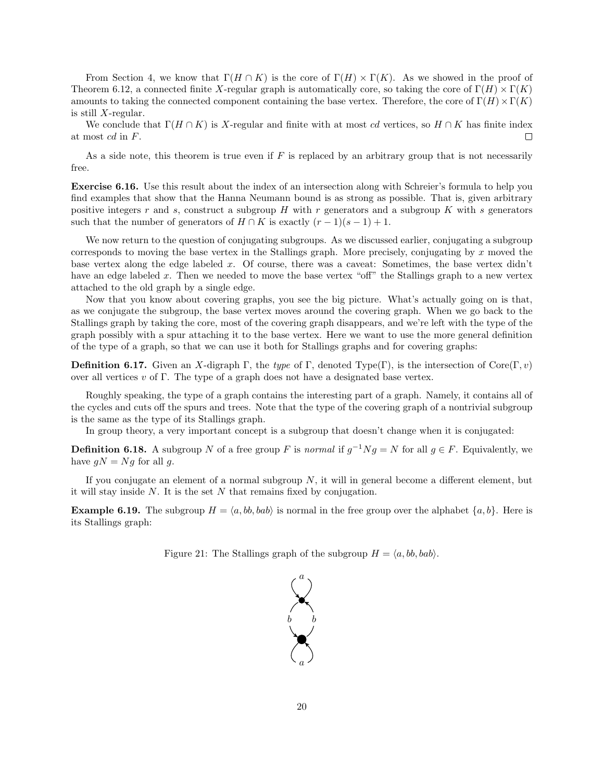From Section 4, we know that  $\Gamma(H \cap K)$  is the core of  $\Gamma(H) \times \Gamma(K)$ . As we showed in the proof of Theorem 6.12, a connected finite X-regular graph is automatically core, so taking the core of  $\Gamma(H) \times \Gamma(K)$ amounts to taking the connected component containing the base vertex. Therefore, the core of  $\Gamma(H) \times \Gamma(K)$ is still  $X$ -regular.

We conclude that  $\Gamma(H \cap K)$  is X-regular and finite with at most cd vertices, so  $H \cap K$  has finite index at most cd in F.  $\Box$ 

As a side note, this theorem is true even if  $F$  is replaced by an arbitrary group that is not necessarily free.

Exercise 6.16. Use this result about the index of an intersection along with Schreier's formula to help you find examples that show that the Hanna Neumann bound is as strong as possible. That is, given arbitrary positive integers r and s, construct a subgroup  $H$  with r generators and a subgroup  $K$  with s generators such that the number of generators of  $H \cap K$  is exactly  $(r-1)(s-1)+1$ .

We now return to the question of conjugating subgroups. As we discussed earlier, conjugating a subgroup corresponds to moving the base vertex in the Stallings graph. More precisely, conjugating by x moved the base vertex along the edge labeled x. Of course, there was a caveat: Sometimes, the base vertex didn't have an edge labeled x. Then we needed to move the base vertex "off" the Stallings graph to a new vertex attached to the old graph by a single edge.

Now that you know about covering graphs, you see the big picture. What's actually going on is that, as we conjugate the subgroup, the base vertex moves around the covering graph. When we go back to the Stallings graph by taking the core, most of the covering graph disappears, and we're left with the type of the graph possibly with a spur attaching it to the base vertex. Here we want to use the more general definition of the type of a graph, so that we can use it both for Stallings graphs and for covering graphs:

**Definition 6.17.** Given an X-digraph Γ, the type of Γ, denoted Type(Γ), is the intersection of Core(Γ, v) over all vertices v of  $\Gamma$ . The type of a graph does not have a designated base vertex.

Roughly speaking, the type of a graph contains the interesting part of a graph. Namely, it contains all of the cycles and cuts off the spurs and trees. Note that the type of the covering graph of a nontrivial subgroup is the same as the type of its Stallings graph.

In group theory, a very important concept is a subgroup that doesn't change when it is conjugated:

**Definition 6.18.** A subgroup N of a free group F is normal if  $g^{-1}Ng = N$  for all  $g \in F$ . Equivalently, we have  $gN = Ng$  for all g.

If you conjugate an element of a normal subgroup  $N$ , it will in general become a different element, but it will stay inside  $N$ . It is the set  $N$  that remains fixed by conjugation.

**Example 6.19.** The subgroup  $H = \langle a, bb, bab \rangle$  is normal in the free group over the alphabet  $\{a, b\}$ . Here is its Stallings graph:

Figure 21: The Stallings graph of the subgroup  $H = \langle a, bb, bab \rangle$ .